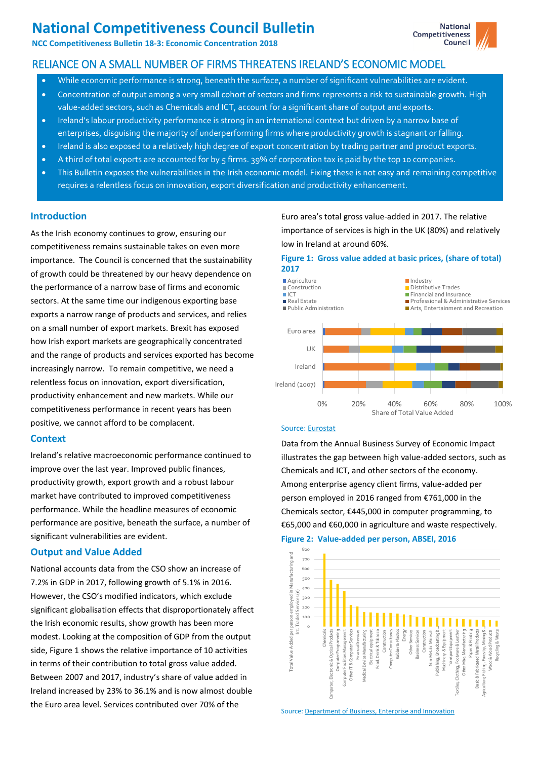# **National Competitiveness Council Bulletin**

**NCC Competitiveness Bulletin 18-3: Economic Concentration 2018**

# RELIANCE ON A SMALL NUMBER OF FIRMS THREATENS IRELAND'S ECONOMIC MODEL

- While economic performance is strong, beneath the surface, a number of significant vulnerabilities are evident.
- Concentration of output among a very small cohort of sectors and firms represents a risk to sustainable growth. High value-added sectors, such as Chemicals and ICT, account for a significant share of output and exports.
- Ireland's labour productivity performance is strong in an international context but driven by a narrow base of enterprises, disguising the majority of underperforming firms where productivity growth is stagnant or falling.
- Ireland is also exposed to a relatively high degree of export concentration by trading partner and product exports.
- A third of total exports are accounted for by 5 firms. 39% of corporation tax is paid by the top 10 companies.
- This Bulletin exposes the vulnerabilities in the Irish economic model. Fixing these is not easy and remaining competitive requires a relentless focus on innovation, export diversification and productivity enhancement.

# **Introduction**

As the Irish economy continues to grow, ensuring our competitiveness remains sustainable takes on even more importance. The Council is concerned that the sustainability of growth could be threatened by our heavy dependence on the performance of a narrow base of firms and economic sectors. At the same time our indigenous exporting base exports a narrow range of products and services, and relies on a small number of export markets. Brexit has exposed how Irish export markets are geographically concentrated and the range of products and services exported has become increasingly narrow. To remain competitive, we need a relentless focus on innovation, export diversification, productivity enhancement and new markets. While our competitiveness performance in recent years has been positive, we cannot afford to be complacent.

# **Context**

Ireland's relative macroeconomic performance continued to improve over the last year. Improved public finances, productivity growth, export growth and a robust labour market have contributed to improved competitiveness performance. While the headline measures of economic performance are positive, beneath the surface, a number of significant vulnerabilities are evident.

# **Output and Value Added**

National accounts data from the CSO show an increase of 7.2% in GDP in 2017, following growth of 5.1% in 2016. However, the CSO's modified indicators, which exclude significant globalisation effects that disproportionately affect the Irish economic results, show growth has been more modest. Looking at the composition of GDP from the output side, Figure 1 shows the relative importance of 10 activities in terms of their contribution to total gross value added. Between 2007 and 2017, industry's share of value added in Ireland increased by 23% to 36.1% and is now almost double the Euro area level. Services contributed over 70% of the

Euro area's total gross value-added in 2017. The relative importance of services is high in the UK (80%) and relatively low in Ireland at around 60%.

## **Figure 1: Gross value added at basic prices, (share of total) 2017**



## Source[: Eurostat](http://appsso.eurostat.ec.europa.eu/nui/show.do?dataset=nama_10_a10&lang=en)

Data from the Annual Business Survey of Economic Impact illustrates the gap between high value-added sectors, such as Chemicals and ICT, and other sectors of the economy. Among enterprise agency client firms, value-added per person employed in 2016 ranged from €761,000 in the Chemicals sector, €445,000 in computer programming, to €65,000 and €60,000 in agriculture and waste respectively.





Source[: Department of Business, Enterprise and Innovation](https://dbei.gov.ie/en/Publications/Publication-files/ABSEI-2016.pdf)

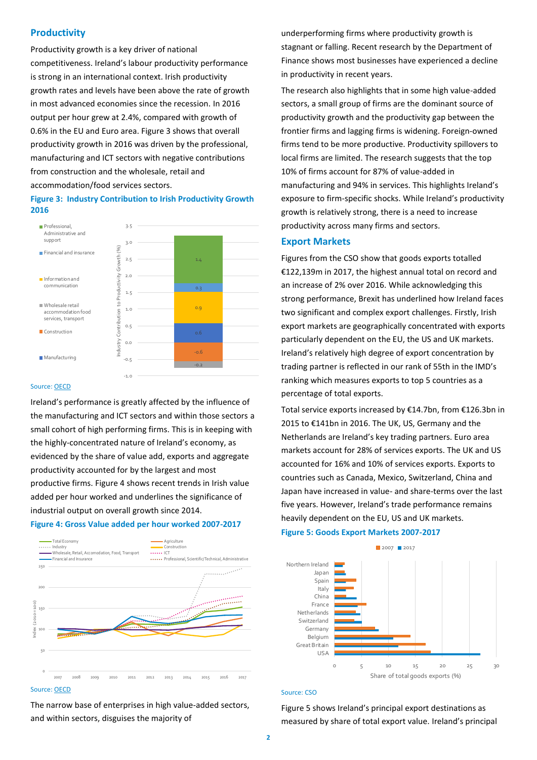## **Productivity**

Productivity growth is a key driver of national competitiveness. Ireland's labour productivity performance is strong in an international context. Irish productivity growth rates and levels have been above the rate of growth in most advanced economies since the recession. In 2016 output per hour grew at 2.4%, compared with growth of 0.6% in the EU and Euro area. Figure 3 shows that overall productivity growth in 2016 was driven by the professional, manufacturing and ICT sectors with negative contributions from construction and the wholesale, retail and accommodation/food services sectors.

## **Figure 3: Industry Contribution to Irish Productivity Growth 2016**



#### Source[: OECD](http://stats.oecd.org/index.aspx?queryid=54564)

Ireland's performance is greatly affected by the influence of the manufacturing and ICT sectors and within those sectors a small cohort of high performing firms. This is in keeping with the highly-concentrated nature of Ireland's economy, as evidenced by the share of value add, exports and aggregate productivity accounted for by the largest and most productive firms. Figure 4 shows recent trends in Irish value added per hour worked and underlines the significance of industrial output on overall growth since 2014.

## **Figure 4: Gross Value added per hour worked 2007-2017**



Source[: OECD](http://stats.oecd.org/index.aspx?queryid=54564)

The narrow base of enterprises in high value-added sectors, and within sectors, disguises the majority of

underperforming firms where productivity growth is stagnant or falling. Recent research by the Department of Finance shows most businesses have experienced a decline in productivity in recent years.

The research also highlights that in some high value-added sectors, a small group of firms are the dominant source of productivity growth and the productivity gap between the frontier firms and lagging firms is widening. Foreign-owned firms tend to be more productive. Productivity spillovers to local firms are limited. The research suggests that the top 10% of firms account for 87% of value-added in manufacturing and 94% in services. This highlights Ireland's exposure to firm-specific shocks. While Ireland's productivity growth is relatively strong, there is a need to increase productivity across many firms and sectors.

## **Export Markets**

Figures from the CSO show that goods exports totalled €122,139m in 2017, the highest annual total on record and an increase of 2% over 2016. While acknowledging this strong performance, Brexit has underlined how Ireland faces two significant and complex export challenges. Firstly, Irish export markets are geographically concentrated with exports particularly dependent on the EU, the US and UK markets. Ireland's relatively high degree of export concentration by trading partner is reflected in our rank of 55th in the IMD's ranking which measures exports to top 5 countries as a percentage of total exports.

Total service exports increased by €14.7bn, from €126.3bn in 2015 to €141bn in 2016. The UK, US, Germany and the Netherlands are Ireland's key trading partners. Euro area markets account for 28% of services exports. The UK and US accounted for 16% and 10% of services exports. Exports to countries such as Canada, Mexico, Switzerland, China and Japan have increased in value- and share-terms over the last five years. However, Ireland's trade performance remains heavily dependent on the EU, US and UK markets.

#### **Figure 5: Goods Export Markets 2007-2017**



#### Source: CSO

Figure 5 shows Ireland's principal export destinations as measured by share of total export value. Ireland's principal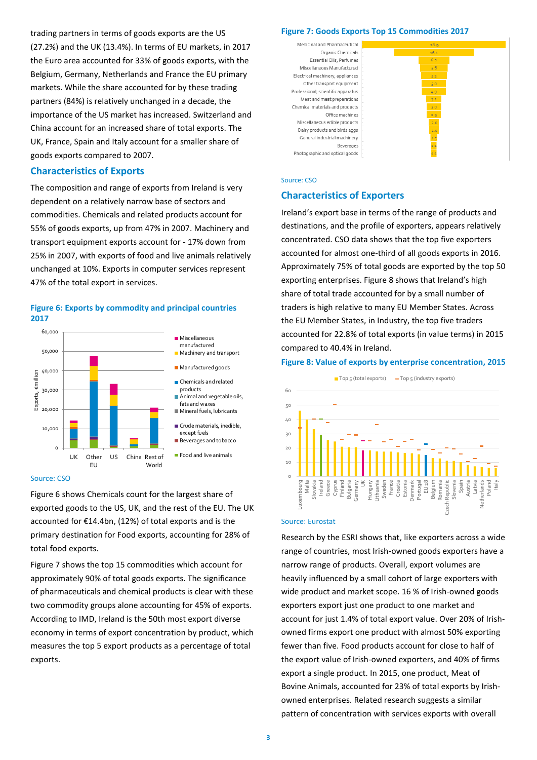trading partners in terms of goods exports are the US (27.2%) and the UK (13.4%). In terms of EU markets, in 2017 the Euro area accounted for 33% of goods exports, with the Belgium, Germany, Netherlands and France the EU primary markets. While the share accounted for by these trading partners (84%) is relatively unchanged in a decade, the importance of the US market has increased. Switzerland and China account for an increased share of total exports. The UK, France, Spain and Italy account for a smaller share of goods exports compared to 2007.

## **Characteristics of Exports**

The composition and range of exports from Ireland is very dependent on a relatively narrow base of sectors and commodities. Chemicals and related products account for 55% of goods exports, up from 47% in 2007. Machinery and transport equipment exports account for - 17% down from 25% in 2007, with exports of food and live animals relatively unchanged at 10%. Exports in computer services represent 47% of the total export in services.

#### **Figure 6: Exports by commodity and principal countries 2017**



#### Source: CSO

Figure 6 shows Chemicals count for the largest share of exported goods to the US, UK, and the rest of the EU. The UK accounted for €14.4bn, (12%) of total exports and is the primary destination for Food exports, accounting for 28% of total food exports.

Figure 7 shows the top 15 commodities which account for approximately 90% of total goods exports. The significance of pharmaceuticals and chemical products is clear with these two commodity groups alone accounting for 45% of exports. According to IMD, Ireland is the 50th most export diverse economy in terms of export concentration by product, which measures the top 5 export products as a percentage of total exports.

## **Figure 7: Goods Exports Top 15 Commodities 2017**



#### Source: CSO

#### **Characteristics of Exporters**

Ireland's export base in terms of the range of products and destinations, and the profile of exporters, appears relatively concentrated. CSO data shows that the top five exporters accounted for almost one-third of all goods exports in 2016. Approximately 75% of total goods are exported by the top 50 exporting enterprises. Figure 8 shows that Ireland's high share of total trade accounted for by a small number of traders is high relative to many EU Member States. Across the EU Member States, in Industry, the top five traders accounted for 22.8% of total exports (in value terms) in 2015 compared to 40.4% in Ireland.

#### **Figure 8: Value of exports by enterprise concentration, 2015**



#### Source: Eurostat

Research by the ESRI shows that, like exporters across a wide range of countries, most Irish-owned goods exporters have a narrow range of products. Overall, export volumes are heavily influenced by a small cohort of large exporters with wide product and market scope. 16 % of Irish-owned goods exporters export just one product to one market and account for just 1.4% of total export value. Over 20% of Irishowned firms export one product with almost 50% exporting fewer than five. Food products account for close to half of the export value of Irish-owned exporters, and 40% of firms export a single product. In 2015, one product, Meat of Bovine Animals, accounted for 23% of total exports by Irishowned enterprises. Related research suggests a similar pattern of concentration with services exports with overall